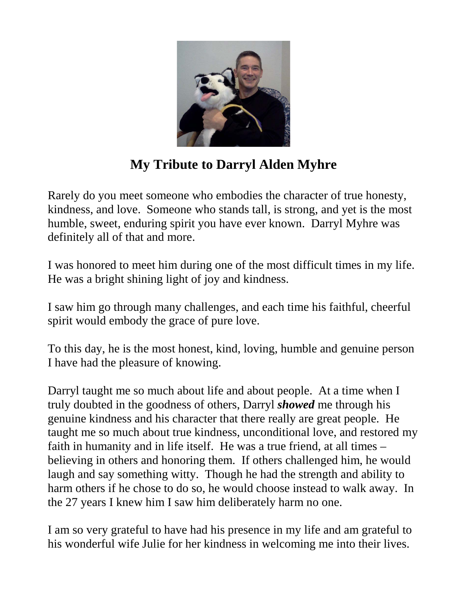

## **My Tribute to Darryl Alden Myhre**

Rarely do you meet someone who embodies the character of true honesty, kindness, and love. Someone who stands tall, is strong, and yet is the most humble, sweet, enduring spirit you have ever known. Darryl Myhre was definitely all of that and more.

I was honored to meet him during one of the most difficult times in my life. He was a bright shining light of joy and kindness.

I saw him go through many challenges, and each time his faithful, cheerful spirit would embody the grace of pure love.

To this day, he is the most honest, kind, loving, humble and genuine person I have had the pleasure of knowing.

Darryl taught me so much about life and about people. At a time when I truly doubted in the goodness of others, Darryl *showed* me through his genuine kindness and his character that there really are great people. He taught me so much about true kindness, unconditional love, and restored my faith in humanity and in life itself. He was a true friend, at all times – believing in others and honoring them. If others challenged him, he would laugh and say something witty. Though he had the strength and ability to harm others if he chose to do so, he would choose instead to walk away. In the 27 years I knew him I saw him deliberately harm no one.

I am so very grateful to have had his presence in my life and am grateful to his wonderful wife Julie for her kindness in welcoming me into their lives.